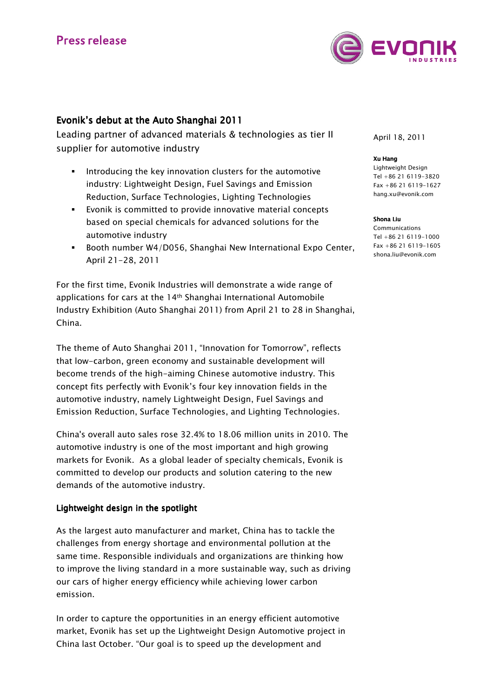

# Evonik's debut at the Auto Shanghai 2011

Leading partner of advanced materials & technologies as tier II supplier for automotive industry

- Introducing the key innovation clusters for the automotive industry: Lightweight Design, Fuel Savings and Emission Reduction, Surface Technologies, Lighting Technologies
- Evonik is committed to provide innovative material concepts based on special chemicals for advanced solutions for the automotive industry
- **Booth number W4/D056, Shanghai New International Expo Center,** April 21-28, 2011

For the first time, Evonik Industries will demonstrate a wide range of applications for cars at the 14th Shanghai International Automobile Industry Exhibition (Auto Shanghai 2011) from April 21 to 28 in Shanghai, China.

The theme of Auto Shanghai 2011, "Innovation for Tomorrow", reflects that low-carbon, green economy and sustainable development will become trends of the high-aiming Chinese automotive industry. This concept fits perfectly with Evonik's four key innovation fields in the automotive industry, namely Lightweight Design, Fuel Savings and Emission Reduction, Surface Technologies, and Lighting Technologies.

China's overall auto sales rose 32.4% to 18.06 million units in 2010. The automotive industry is one of the most important and high growing markets for Evonik. As a global leader of specialty chemicals, Evonik is committed to develop our products and solution catering to the new demands of the automotive industry.

# Lightweight design in the spotlight

As the largest auto manufacturer and market, China has to tackle the challenges from energy shortage and environmental pollution at the same time. Responsible individuals and organizations are thinking how to improve the living standard in a more sustainable way, such as driving our cars of higher energy efficiency while achieving lower carbon emission.

In order to capture the opportunities in an energy efficient automotive market, Evonik has set up the Lightweight Design Automotive project in China last October. "Our goal is to speed up the development and

April 18, 2011

#### Xu Hang

Lightweight Design Tel +86 21 6119-3820 Fax +86 21 6119-1627 hang.xu@evonik.com

#### Shona Liu

Communications Tel +86 21 6119-1000 Fax +86 21 6119-1605 shona.liu@evonik.com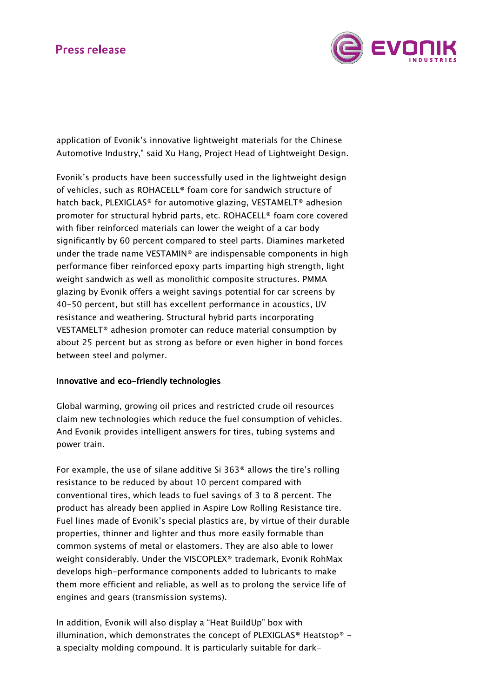# **Press release**



application of Evonik's innovative lightweight materials for the Chinese Automotive Industry," said Xu Hang, Project Head of Lightweight Design.

Evonik's products have been successfully used in the lightweight design of vehicles, such as ROHACELL® foam core for sandwich structure of hatch back, PLEXIGLAS® for automotive glazing, VESTAMELT® adhesion promoter for structural hybrid parts, etc. ROHACELL® foam core covered with fiber reinforced materials can lower the weight of a car body significantly by 60 percent compared to steel parts. Diamines marketed under the trade name VESTAMIN® are indispensable components in high performance fiber reinforced epoxy parts imparting high strength, light weight sandwich as well as monolithic composite structures. PMMA glazing by Evonik offers a weight savings potential for car screens by 40-50 percent, but still has excellent performance in acoustics, UV resistance and weathering. Structural hybrid parts incorporating VESTAMELT® adhesion promoter can reduce material consumption by about 25 percent but as strong as before or even higher in bond forces between steel and polymer.

# Innovative and eco-friendly technologies

Global warming, growing oil prices and restricted crude oil resources claim new technologies which reduce the fuel consumption of vehicles. And Evonik provides intelligent answers for tires, tubing systems and power train.

For example, the use of silane additive Si 363® allows the tire's rolling resistance to be reduced by about 10 percent compared with conventional tires, which leads to fuel savings of 3 to 8 percent. The product has already been applied in Aspire Low Rolling Resistance tire. Fuel lines made of Evonik's special plastics are, by virtue of their durable properties, thinner and lighter and thus more easily formable than common systems of metal or elastomers. They are also able to lower weight considerably. Under the VISCOPLEX® trademark, Evonik RohMax develops high-performance components added to lubricants to make them more efficient and reliable, as well as to prolong the service life of engines and gears (transmission systems).

In addition, Evonik will also display a "Heat BuildUp" box with illumination, which demonstrates the concept of PLEXIGLAS® Heatstop® a specialty molding compound. It is particularly suitable for dark-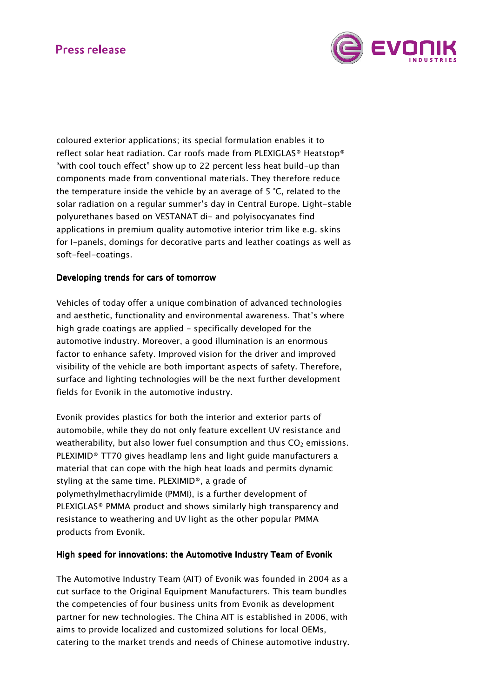# **Press release**



coloured exterior applications; its special formulation enables it to reflect solar heat radiation. Car roofs made from PLEXIGLAS® Heatstop® "with cool touch effect" show up to 22 percent less heat build-up than components made from conventional materials. They therefore reduce the temperature inside the vehicle by an average of 5 °C, related to the solar radiation on a regular summer's day in Central Europe. Light-stable polyurethanes based on VESTANAT di- and polyisocyanates find applications in premium quality automotive interior trim like e.g. skins for I-panels, domings for decorative parts and leather coatings as well as soft-feel-coatings.

## Developing trends for cars of tomorrow

Vehicles of today offer a unique combination of advanced technologies and aesthetic, functionality and environmental awareness. That's where high grade coatings are applied - specifically developed for the automotive industry. Moreover, a good illumination is an enormous factor to enhance safety. Improved vision for the driver and improved visibility of the vehicle are both important aspects of safety. Therefore, surface and lighting technologies will be the next further development fields for Evonik in the automotive industry.

Evonik provides plastics for both the interior and exterior parts of automobile, while they do not only feature excellent UV resistance and weatherability, but also lower fuel consumption and thus  $CO<sub>2</sub>$  emissions. PLEXIMID® TT70 gives headlamp lens and light guide manufacturers a material that can cope with the high heat loads and permits dynamic styling at the same time. PLEXIMID®, a grade of polymethylmethacrylimide (PMMI), is a further development of PLEXIGLAS® PMMA product and shows similarly high transparency and resistance to weathering and UV light as the other popular PMMA products from Evonik.

# High speed for innovations: the Automotive Industry Team of Evonik

The Automotive Industry Team (AIT) of Evonik was founded in 2004 as a cut surface to the Original Equipment Manufacturers. This team bundles the competencies of four business units from Evonik as development partner for new technologies. The China AIT is established in 2006, with aims to provide localized and customized solutions for local OEMs, catering to the market trends and needs of Chinese automotive industry.